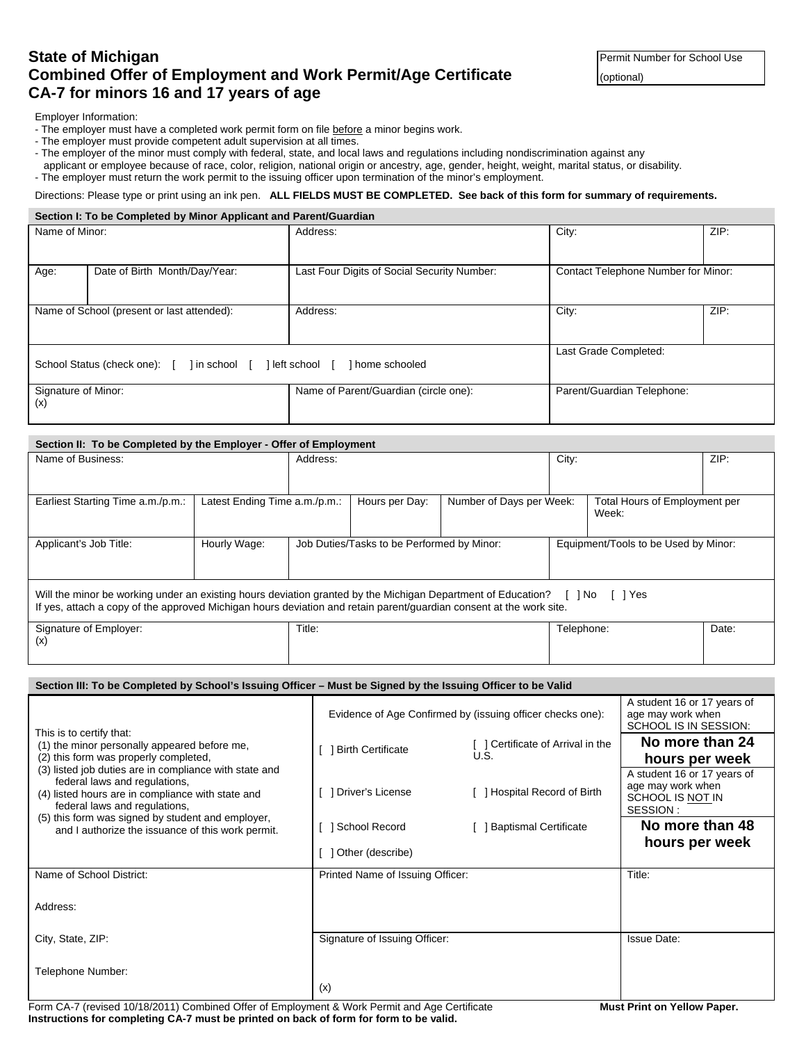## **State of Michigan Combined Offer of Employment and Work Permit/Age Certificate CA-7 for minors 16 and 17 years of age**

Permit Number for School Use (optional)

Employer Information:

- The employer must have a completed work permit form on file before a minor begins work.
- The employer must provide competent adult supervision at all times.
- The employer of the minor must comply with federal, state, and local laws and regulations including nondiscrimination against any
- applicant or employee because of race, color, religion, national origin or ancestry, age, gender, height, weight, marital status, or disability.
- The employer must return the work permit to the issuing officer upon termination of the minor's employment.

Directions: Please type or print using an ink pen. **ALL FIELDS MUST BE COMPLETED. See back of this form for summary of requirements.**

**Section I: To be Completed by Minor Applicant and Parent/Guardian**

| Name of Minor:                                                                                      |                                            | Address:                                    | City:                               | ZIP: |  |  |  |
|-----------------------------------------------------------------------------------------------------|--------------------------------------------|---------------------------------------------|-------------------------------------|------|--|--|--|
| Age:                                                                                                | Date of Birth Month/Day/Year:              | Last Four Digits of Social Security Number: | Contact Telephone Number for Minor: |      |  |  |  |
|                                                                                                     | Name of School (present or last attended): | Address:                                    | City:                               | ZIP: |  |  |  |
| Last Grade Completed:<br>School Status (check one): [ ] in school [ ] left school [ ] home schooled |                                            |                                             |                                     |      |  |  |  |
| Signature of Minor:<br>(x)                                                                          |                                            | Name of Parent/Guardian (circle one):       | Parent/Guardian Telephone:          |      |  |  |  |

## **Section II: To be Completed by the Employer - Offer of Employment**

| Name of Business:                                                                                                                                                                                                                                | Address:                      |  |                                            | City:                    |  | ZIP:                                   |  |  |
|--------------------------------------------------------------------------------------------------------------------------------------------------------------------------------------------------------------------------------------------------|-------------------------------|--|--------------------------------------------|--------------------------|--|----------------------------------------|--|--|
|                                                                                                                                                                                                                                                  |                               |  |                                            |                          |  |                                        |  |  |
| Earliest Starting Time a.m./p.m.:                                                                                                                                                                                                                | Latest Ending Time a.m./p.m.: |  | Hours per Day:                             | Number of Days per Week: |  | Total Hours of Employment per<br>Week: |  |  |
| Applicant's Job Title:                                                                                                                                                                                                                           | Hourly Wage:                  |  | Job Duties/Tasks to be Performed by Minor: |                          |  | Equipment/Tools to be Used by Minor:   |  |  |
| Will the minor be working under an existing hours deviation granted by the Michigan Department of Education? [] No [] Yes<br>If yes, attach a copy of the approved Michigan hours deviation and retain parent/guardian consent at the work site. |                               |  |                                            |                          |  |                                        |  |  |
| Signature of Employer:<br>(x)                                                                                                                                                                                                                    | Title:                        |  |                                            | Telephone:               |  | Date:                                  |  |  |

| Section III: To be Completed by School's Issuing Officer – Must be Signed by the Issuing Officer to be Valid                                                                  |                                                            |                                                                           |                                                                                  |  |  |  |  |
|-------------------------------------------------------------------------------------------------------------------------------------------------------------------------------|------------------------------------------------------------|---------------------------------------------------------------------------|----------------------------------------------------------------------------------|--|--|--|--|
|                                                                                                                                                                               | Evidence of Age Confirmed by (issuing officer checks one): | A student 16 or 17 years of<br>age may work when<br>SCHOOL IS IN SESSION: |                                                                                  |  |  |  |  |
| This is to certify that:<br>(1) the minor personally appeared before me,                                                                                                      | <b>Birth Certificate</b>                                   | [ ] Certificate of Arrival in the                                         | No more than 24                                                                  |  |  |  |  |
| (2) this form was properly completed,                                                                                                                                         |                                                            | U.S.                                                                      | hours per week                                                                   |  |  |  |  |
| (3) listed job duties are in compliance with state and<br>federal laws and regulations,<br>(4) listed hours are in compliance with state and<br>federal laws and regulations, | 1 Driver's License                                         | Hospital Record of Birth                                                  | A student 16 or 17 years of<br>age may work when<br>SCHOOL IS NOT IN<br>SESSION: |  |  |  |  |
| (5) this form was signed by student and employer,<br>and I authorize the issuance of this work permit.                                                                        | 1 School Record                                            | Baptismal Certificate                                                     | No more than 48                                                                  |  |  |  |  |
|                                                                                                                                                                               | 1 Other (describe)                                         |                                                                           | hours per week                                                                   |  |  |  |  |
| Name of School District:                                                                                                                                                      | Printed Name of Issuing Officer:                           | Title:                                                                    |                                                                                  |  |  |  |  |
| Address:                                                                                                                                                                      |                                                            |                                                                           |                                                                                  |  |  |  |  |
| City, State, ZIP:                                                                                                                                                             | Signature of Issuing Officer:                              | <b>Issue Date:</b>                                                        |                                                                                  |  |  |  |  |
| Telephone Number:                                                                                                                                                             | (x)                                                        |                                                                           |                                                                                  |  |  |  |  |

Form CA-7 (revised 10/18/2011) Combined Offer of Employment & Work Permit and Age Certificate **Must Print on Yellow Paper. Instructions for completing CA-7 must be printed on back of form for form to be valid.**